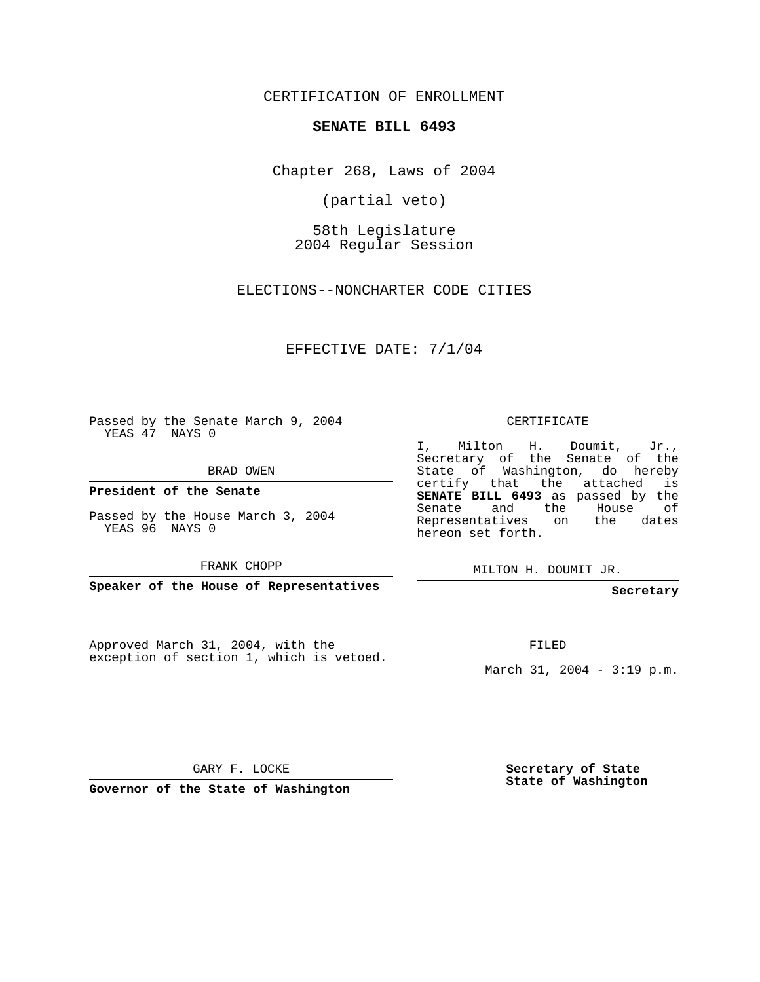CERTIFICATION OF ENROLLMENT

#### **SENATE BILL 6493**

Chapter 268, Laws of 2004

(partial veto)

58th Legislature 2004 Regular Session

ELECTIONS--NONCHARTER CODE CITIES

EFFECTIVE DATE: 7/1/04

Passed by the Senate March 9, 2004 YEAS 47 NAYS 0

BRAD OWEN

**President of the Senate**

Passed by the House March 3, 2004 YEAS 96 NAYS 0

FRANK CHOPP

**Speaker of the House of Representatives**

Approved March 31, 2004, with the exception of section 1, which is vetoed.

#### CERTIFICATE

I, Milton H. Doumit, Jr., Secretary of the Senate of the State of Washington, do hereby certify that the attached is **SENATE BILL 6493** as passed by the Senate and the House of Representatives on the dates hereon set forth.

MILTON H. DOUMIT JR.

### **Secretary**

FILED

March 31, 2004 - 3:19 p.m.

GARY F. LOCKE

**Governor of the State of Washington**

**Secretary of State State of Washington**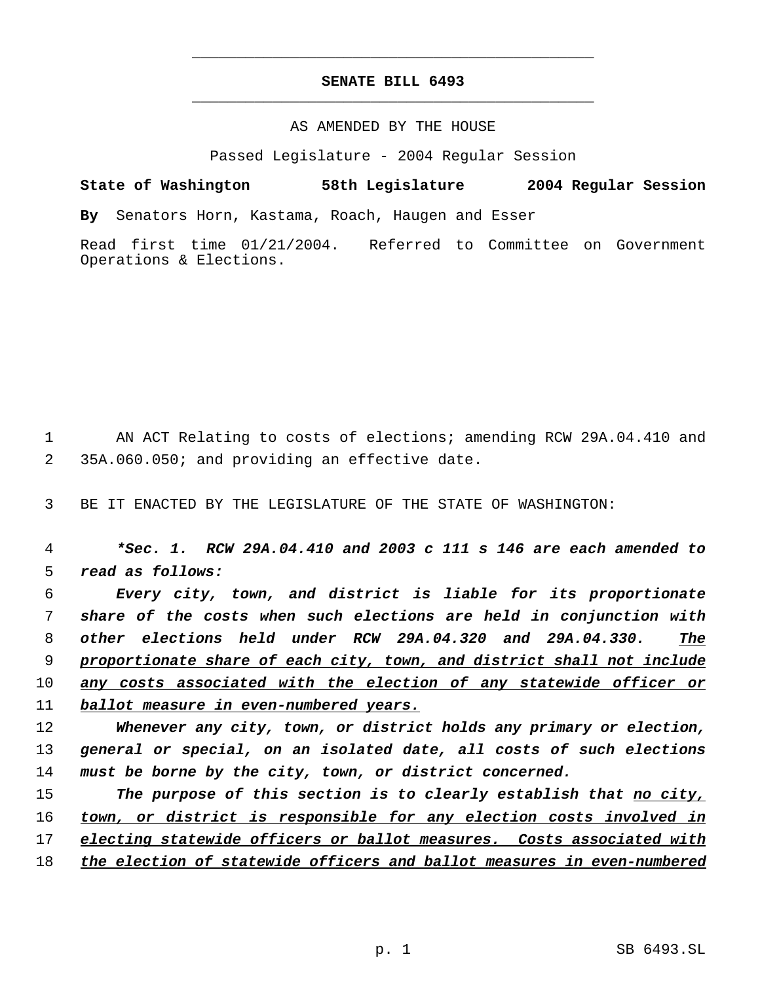# **SENATE BILL 6493** \_\_\_\_\_\_\_\_\_\_\_\_\_\_\_\_\_\_\_\_\_\_\_\_\_\_\_\_\_\_\_\_\_\_\_\_\_\_\_\_\_\_\_\_\_

\_\_\_\_\_\_\_\_\_\_\_\_\_\_\_\_\_\_\_\_\_\_\_\_\_\_\_\_\_\_\_\_\_\_\_\_\_\_\_\_\_\_\_\_\_

## AS AMENDED BY THE HOUSE

Passed Legislature - 2004 Regular Session

**State of Washington 58th Legislature 2004 Regular Session By** Senators Horn, Kastama, Roach, Haugen and Esser Read first time 01/21/2004. Referred to Committee on Government

1 AN ACT Relating to costs of elections; amending RCW 29A.04.410 and 35A.060.050; and providing an effective date.

BE IT ENACTED BY THE LEGISLATURE OF THE STATE OF WASHINGTON:

Operations & Elections.

 *\*Sec. 1. RCW 29A.04.410 and 2003 c 111 s 146 are each amended to read as follows:*

 *Every city, town, and district is liable for its proportionate share of the costs when such elections are held in conjunction with other elections held under RCW 29A.04.320 and 29A.04.330. The proportionate share of each city, town, and district shall not include any costs associated with the election of any statewide officer or ballot measure in even-numbered years.*

 *Whenever any city, town, or district holds any primary or election, general or special, on an isolated date, all costs of such elections must be borne by the city, town, or district concerned.*

 *The purpose of this section is to clearly establish that no city, town, or district is responsible for any election costs involved in electing statewide officers or ballot measures. Costs associated with the election of statewide officers and ballot measures in even-numbered*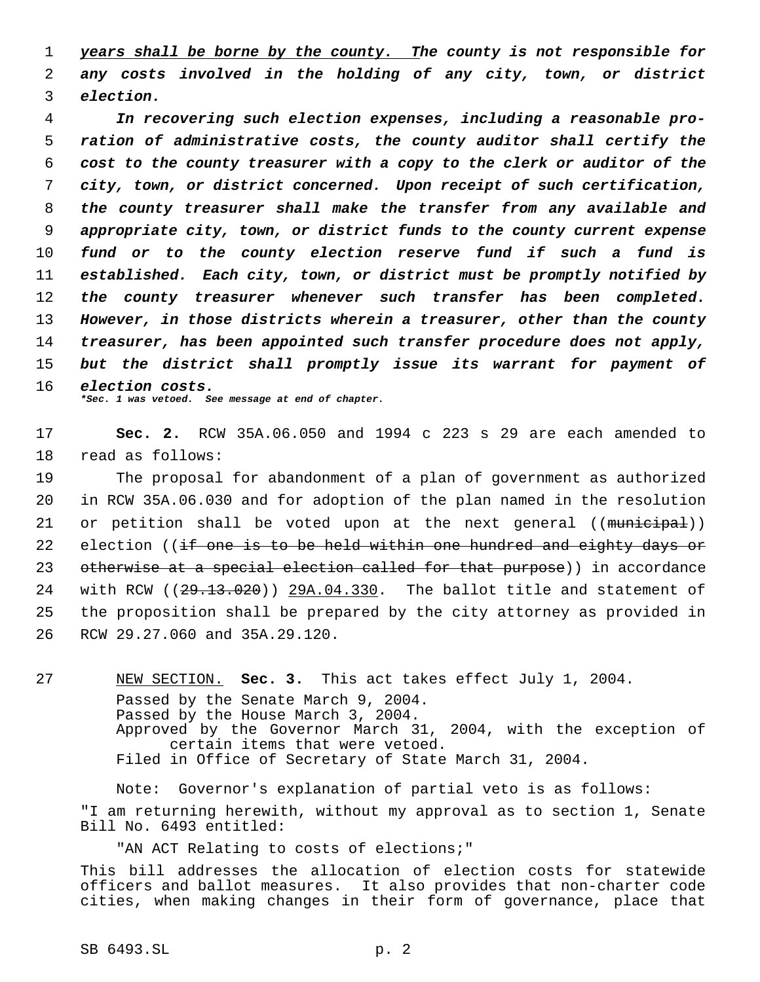1 *years shall be borne by the county. The county is not responsible for* 2 *any costs involved in the holding of any city, town, or district* 3 *election.*

 *In recovering such election expenses, including a reasonable pro- ration of administrative costs, the county auditor shall certify the cost to the county treasurer with a copy to the clerk or auditor of the city, town, or district concerned. Upon receipt of such certification, the county treasurer shall make the transfer from any available and appropriate city, town, or district funds to the county current expense fund or to the county election reserve fund if such a fund is established. Each city, town, or district must be promptly notified by the county treasurer whenever such transfer has been completed. However, in those districts wherein a treasurer, other than the county treasurer, has been appointed such transfer procedure does not apply, but the district shall promptly issue its warrant for payment of election costs. \*Sec. 1 was vetoed. See message at end of chapter.*

17 **Sec. 2.** RCW 35A.06.050 and 1994 c 223 s 29 are each amended to 18 read as follows:

19 The proposal for abandonment of a plan of government as authorized 20 in RCW 35A.06.030 and for adoption of the plan named in the resolution 21 or petition shall be voted upon at the next general  $((\text{muniteipal}))$ 22 election ((if one is to be held within one hundred and eighty days or 23 otherwise at a special election called for that purpose)) in accordance 24 with RCW  $(29.13.020)$  29A.04.330. The ballot title and statement of 25 the proposition shall be prepared by the city attorney as provided in 26 RCW 29.27.060 and 35A.29.120.

27 NEW SECTION. **Sec. 3.** This act takes effect July 1, 2004. Passed by the Senate March 9, 2004. Passed by the House March 3, 2004. Approved by the Governor March 31, 2004, with the exception of certain items that were vetoed. Filed in Office of Secretary of State March 31, 2004.

Note: Governor's explanation of partial veto is as follows: "I am returning herewith, without my approval as to section 1, Senate Bill No. 6493 entitled:

"AN ACT Relating to costs of elections;" This bill addresses the allocation of election costs for statewide officers and ballot measures. It also provides that non-charter code cities, when making changes in their form of governance, place that

SB 6493.SL p. 2